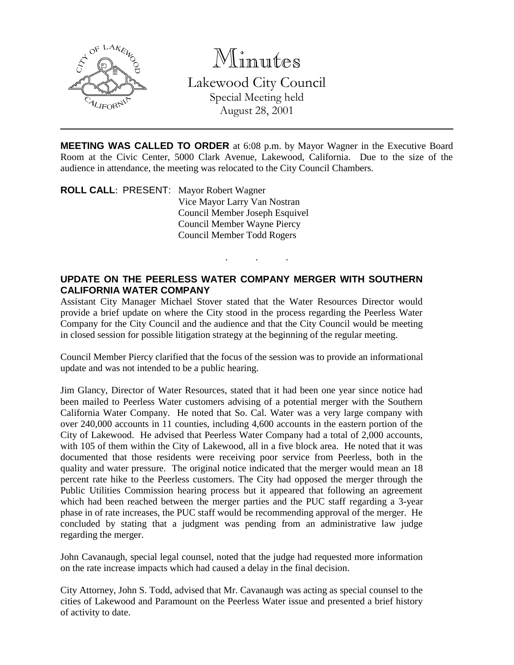

Minutes Lakewood City Council Special Meeting held August 28, 2001

**MEETING WAS CALLED TO ORDER** at 6:08 p.m. by Mayor Wagner in the Executive Board Room at the Civic Center, 5000 Clark Avenue, Lakewood, California. Due to the size of the audience in attendance, the meeting was relocated to the City Council Chambers.

**ROLL CALL**: PRESENT: Mayor Robert Wagner Vice Mayor Larry Van Nostran Council Member Joseph Esquivel Council Member Wayne Piercy Council Member Todd Rogers

## **UPDATE ON THE PEERLESS WATER COMPANY MERGER WITH SOUTHERN CALIFORNIA WATER COMPANY**

. . .

Assistant City Manager Michael Stover stated that the Water Resources Director would provide a brief update on where the City stood in the process regarding the Peerless Water Company for the City Council and the audience and that the City Council would be meeting in closed session for possible litigation strategy at the beginning of the regular meeting.

Council Member Piercy clarified that the focus of the session was to provide an informational update and was not intended to be a public hearing.

Jim Glancy, Director of Water Resources, stated that it had been one year since notice had been mailed to Peerless Water customers advising of a potential merger with the Southern California Water Company. He noted that So. Cal. Water was a very large company with over 240,000 accounts in 11 counties, including 4,600 accounts in the eastern portion of the City of Lakewood. He advised that Peerless Water Company had a total of 2,000 accounts, with 105 of them within the City of Lakewood, all in a five block area. He noted that it was documented that those residents were receiving poor service from Peerless, both in the quality and water pressure. The original notice indicated that the merger would mean an 18 percent rate hike to the Peerless customers. The City had opposed the merger through the Public Utilities Commission hearing process but it appeared that following an agreement which had been reached between the merger parties and the PUC staff regarding a 3-year phase in of rate increases, the PUC staff would be recommending approval of the merger. He concluded by stating that a judgment was pending from an administrative law judge regarding the merger.

John Cavanaugh, special legal counsel, noted that the judge had requested more information on the rate increase impacts which had caused a delay in the final decision.

City Attorney, John S. Todd, advised that Mr. Cavanaugh was acting as special counsel to the cities of Lakewood and Paramount on the Peerless Water issue and presented a brief history of activity to date.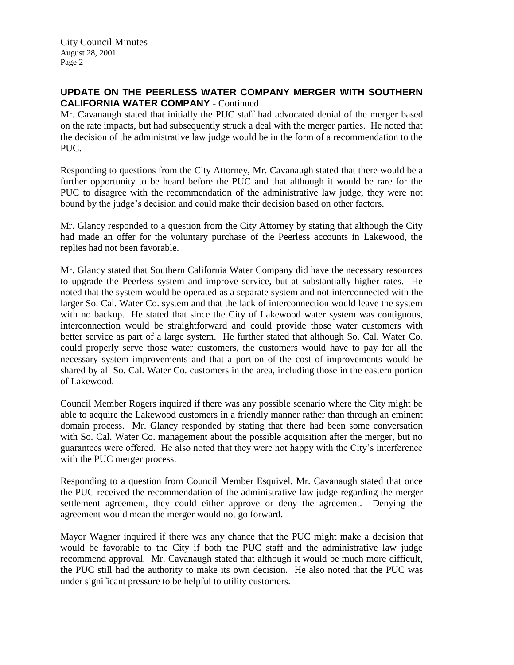City Council Minutes August 28, 2001 Page 2

# **UPDATE ON THE PEERLESS WATER COMPANY MERGER WITH SOUTHERN CALIFORNIA WATER COMPANY** - Continued

Mr. Cavanaugh stated that initially the PUC staff had advocated denial of the merger based on the rate impacts, but had subsequently struck a deal with the merger parties. He noted that the decision of the administrative law judge would be in the form of a recommendation to the PUC.

Responding to questions from the City Attorney, Mr. Cavanaugh stated that there would be a further opportunity to be heard before the PUC and that although it would be rare for the PUC to disagree with the recommendation of the administrative law judge, they were not bound by the judge's decision and could make their decision based on other factors.

Mr. Glancy responded to a question from the City Attorney by stating that although the City had made an offer for the voluntary purchase of the Peerless accounts in Lakewood, the replies had not been favorable.

Mr. Glancy stated that Southern California Water Company did have the necessary resources to upgrade the Peerless system and improve service, but at substantially higher rates. He noted that the system would be operated as a separate system and not interconnected with the larger So. Cal. Water Co. system and that the lack of interconnection would leave the system with no backup. He stated that since the City of Lakewood water system was contiguous, interconnection would be straightforward and could provide those water customers with better service as part of a large system. He further stated that although So. Cal. Water Co. could properly serve those water customers, the customers would have to pay for all the necessary system improvements and that a portion of the cost of improvements would be shared by all So. Cal. Water Co. customers in the area, including those in the eastern portion of Lakewood.

Council Member Rogers inquired if there was any possible scenario where the City might be able to acquire the Lakewood customers in a friendly manner rather than through an eminent domain process. Mr. Glancy responded by stating that there had been some conversation with So. Cal. Water Co. management about the possible acquisition after the merger, but no guarantees were offered. He also noted that they were not happy with the City's interference with the PUC merger process.

Responding to a question from Council Member Esquivel, Mr. Cavanaugh stated that once the PUC received the recommendation of the administrative law judge regarding the merger settlement agreement, they could either approve or deny the agreement. Denying the agreement would mean the merger would not go forward.

Mayor Wagner inquired if there was any chance that the PUC might make a decision that would be favorable to the City if both the PUC staff and the administrative law judge recommend approval. Mr. Cavanaugh stated that although it would be much more difficult, the PUC still had the authority to make its own decision. He also noted that the PUC was under significant pressure to be helpful to utility customers.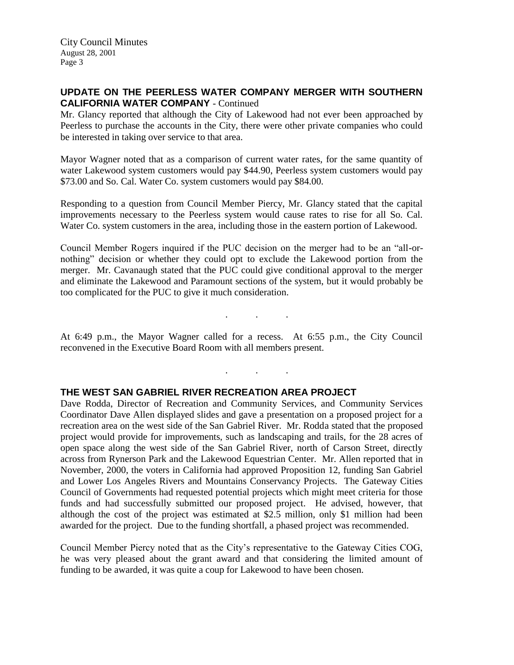City Council Minutes August 28, 2001 Page 3

### **UPDATE ON THE PEERLESS WATER COMPANY MERGER WITH SOUTHERN CALIFORNIA WATER COMPANY** - Continued

Mr. Glancy reported that although the City of Lakewood had not ever been approached by Peerless to purchase the accounts in the City, there were other private companies who could be interested in taking over service to that area.

Mayor Wagner noted that as a comparison of current water rates, for the same quantity of water Lakewood system customers would pay \$44.90, Peerless system customers would pay \$73.00 and So. Cal. Water Co. system customers would pay \$84.00.

Responding to a question from Council Member Piercy, Mr. Glancy stated that the capital improvements necessary to the Peerless system would cause rates to rise for all So. Cal. Water Co. system customers in the area, including those in the eastern portion of Lakewood.

Council Member Rogers inquired if the PUC decision on the merger had to be an "all-ornothing" decision or whether they could opt to exclude the Lakewood portion from the merger. Mr. Cavanaugh stated that the PUC could give conditional approval to the merger and eliminate the Lakewood and Paramount sections of the system, but it would probably be too complicated for the PUC to give it much consideration.

. . .

At 6:49 p.m., the Mayor Wagner called for a recess. At 6:55 p.m., the City Council reconvened in the Executive Board Room with all members present.

. . .

#### **THE WEST SAN GABRIEL RIVER RECREATION AREA PROJECT**

Dave Rodda, Director of Recreation and Community Services, and Community Services Coordinator Dave Allen displayed slides and gave a presentation on a proposed project for a recreation area on the west side of the San Gabriel River. Mr. Rodda stated that the proposed project would provide for improvements, such as landscaping and trails, for the 28 acres of open space along the west side of the San Gabriel River, north of Carson Street, directly across from Rynerson Park and the Lakewood Equestrian Center. Mr. Allen reported that in November, 2000, the voters in California had approved Proposition 12, funding San Gabriel and Lower Los Angeles Rivers and Mountains Conservancy Projects. The Gateway Cities Council of Governments had requested potential projects which might meet criteria for those funds and had successfully submitted our proposed project. He advised, however, that although the cost of the project was estimated at \$2.5 million, only \$1 million had been awarded for the project. Due to the funding shortfall, a phased project was recommended.

Council Member Piercy noted that as the City's representative to the Gateway Cities COG, he was very pleased about the grant award and that considering the limited amount of funding to be awarded, it was quite a coup for Lakewood to have been chosen.